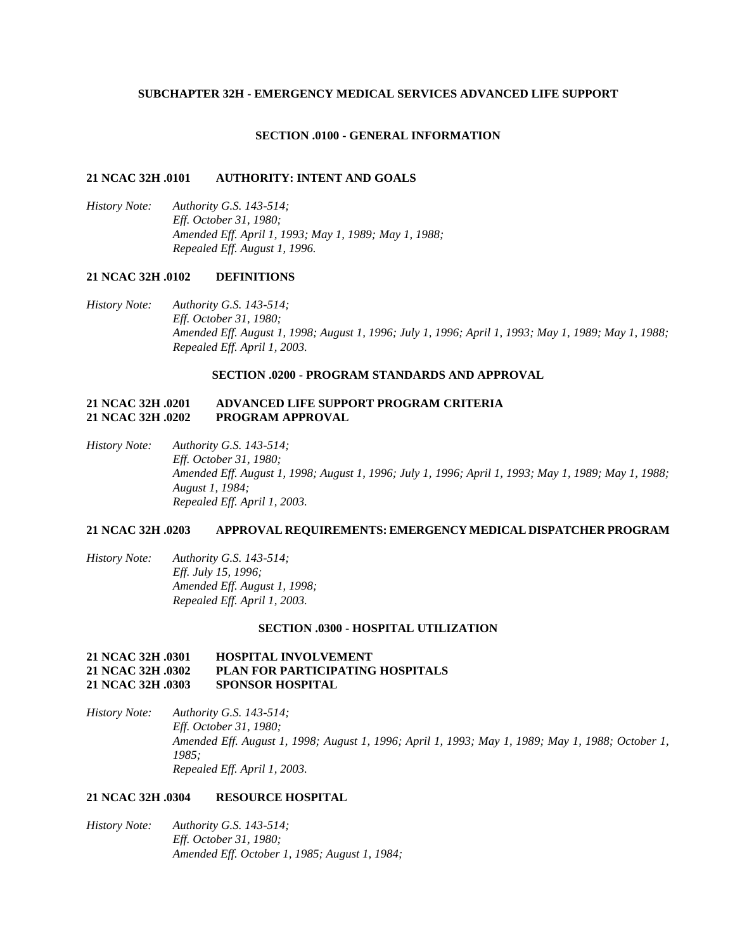### **SUBCHAPTER 32H - EMERGENCY MEDICAL SERVICES ADVANCED LIFE SUPPORT**

### **SECTION .0100 - GENERAL INFORMATION**

## **21 NCAC 32H .0101 AUTHORITY: INTENT AND GOALS**

*History Note: Authority G.S. 143-514; Eff. October 31, 1980; Amended Eff. April 1, 1993; May 1, 1989; May 1, 1988; Repealed Eff. August 1, 1996.*

# **21 NCAC 32H .0102 DEFINITIONS**

*History Note: Authority G.S. 143-514; Eff. October 31, 1980; Amended Eff. August 1, 1998; August 1, 1996; July 1, 1996; April 1, 1993; May 1, 1989; May 1, 1988; Repealed Eff. April 1, 2003.*

### **SECTION .0200 - PROGRAM STANDARDS AND APPROVAL**

## **21 NCAC 32H .0201 ADVANCED LIFE SUPPORT PROGRAM CRITERIA 21 NCAC 32H .0202 PROGRAM APPROVAL**

*History Note: Authority G.S. 143-514; Eff. October 31, 1980; Amended Eff. August 1, 1998; August 1, 1996; July 1, 1996; April 1, 1993; May 1, 1989; May 1, 1988; August 1, 1984; Repealed Eff. April 1, 2003.*

## **21 NCAC 32H .0203 APPROVAL REQUIREMENTS: EMERGENCY MEDICAL DISPATCHER PROGRAM**

*History Note: Authority G.S. 143-514; Eff. July 15, 1996; Amended Eff. August 1, 1998; Repealed Eff. April 1, 2003.*

### **SECTION .0300 - HOSPITAL UTILIZATION**

## **21 NCAC 32H .0301 HOSPITAL INVOLVEMENT 21 NCAC 32H .0302 PLAN FOR PARTICIPATING HOSPITALS 21 NCAC 32H .0303 SPONSOR HOSPITAL**

*History Note: Authority G.S. 143-514; Eff. October 31, 1980; Amended Eff. August 1, 1998; August 1, 1996; April 1, 1993; May 1, 1989; May 1, 1988; October 1, 1985; Repealed Eff. April 1, 2003.*

## **21 NCAC 32H .0304 RESOURCE HOSPITAL**

*History Note: Authority G.S. 143-514; Eff. October 31, 1980; Amended Eff. October 1, 1985; August 1, 1984;*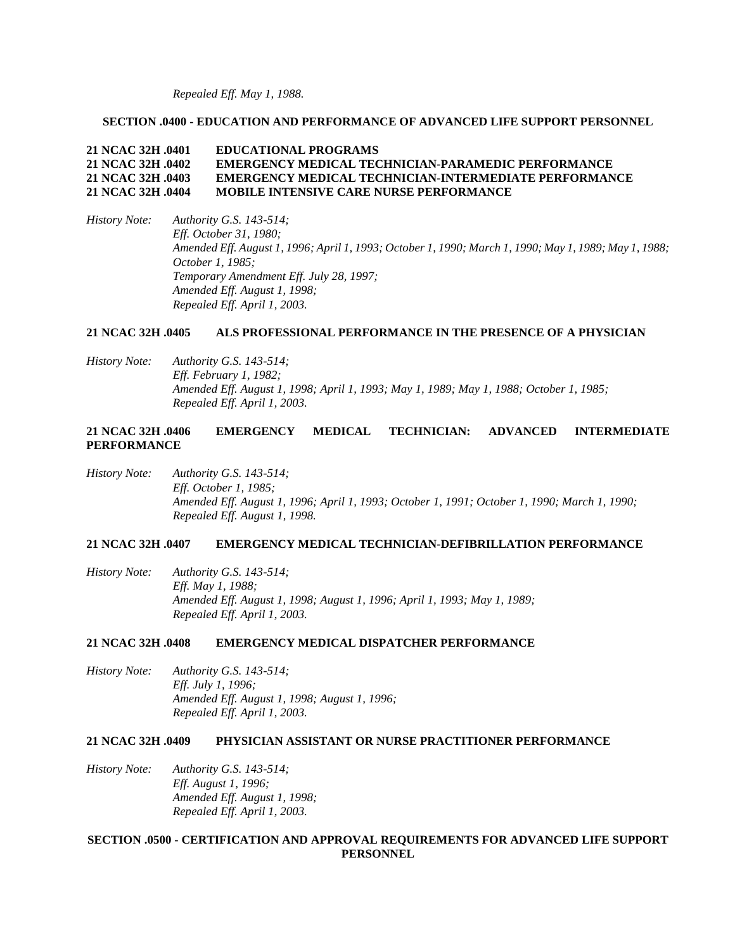*Repealed Eff. May 1, 1988.*

## **SECTION .0400 - EDUCATION AND PERFORMANCE OF ADVANCED LIFE SUPPORT PERSONNEL**

# **21 NCAC 32H .0401 EDUCATIONAL PROGRAMS 21 NCAC 32H .0402 EMERGENCY MEDICAL TECHNICIAN-PARAMEDIC PERFORMANCE 21 NCAC 32H .0403 EMERGENCY MEDICAL TECHNICIAN-INTERMEDIATE PERFORMANCE 21 NCAC 32H .0404 MOBILE INTENSIVE CARE NURSE PERFORMANCE**

*History Note: Authority G.S. 143-514; Eff. October 31, 1980; Amended Eff. August 1, 1996; April 1, 1993; October 1, 1990; March 1, 1990; May 1, 1989; May 1, 1988; October 1, 1985; Temporary Amendment Eff. July 28, 1997; Amended Eff. August 1, 1998; Repealed Eff. April 1, 2003.*

## **21 NCAC 32H .0405 ALS PROFESSIONAL PERFORMANCE IN THE PRESENCE OF A PHYSICIAN**

*History Note: Authority G.S. 143-514; Eff. February 1, 1982; Amended Eff. August 1, 1998; April 1, 1993; May 1, 1989; May 1, 1988; October 1, 1985; Repealed Eff. April 1, 2003.*

# **21 NCAC 32H .0406 EMERGENCY MEDICAL TECHNICIAN: ADVANCED INTERMEDIATE PERFORMANCE**

*History Note: Authority G.S. 143-514; Eff. October 1, 1985; Amended Eff. August 1, 1996; April 1, 1993; October 1, 1991; October 1, 1990; March 1, 1990; Repealed Eff. August 1, 1998.*

## **21 NCAC 32H .0407 EMERGENCY MEDICAL TECHNICIAN-DEFIBRILLATION PERFORMANCE**

*History Note: Authority G.S. 143-514; Eff. May 1, 1988; Amended Eff. August 1, 1998; August 1, 1996; April 1, 1993; May 1, 1989; Repealed Eff. April 1, 2003.*

## **21 NCAC 32H .0408 EMERGENCY MEDICAL DISPATCHER PERFORMANCE**

*History Note: Authority G.S. 143-514; Eff. July 1, 1996; Amended Eff. August 1, 1998; August 1, 1996; Repealed Eff. April 1, 2003.*

### **21 NCAC 32H .0409 PHYSICIAN ASSISTANT OR NURSE PRACTITIONER PERFORMANCE**

*History Note: Authority G.S. 143-514; Eff. August 1, 1996; Amended Eff. August 1, 1998; Repealed Eff. April 1, 2003.*

# **SECTION .0500 - CERTIFICATION AND APPROVAL REQUIREMENTS FOR ADVANCED LIFE SUPPORT PERSONNEL**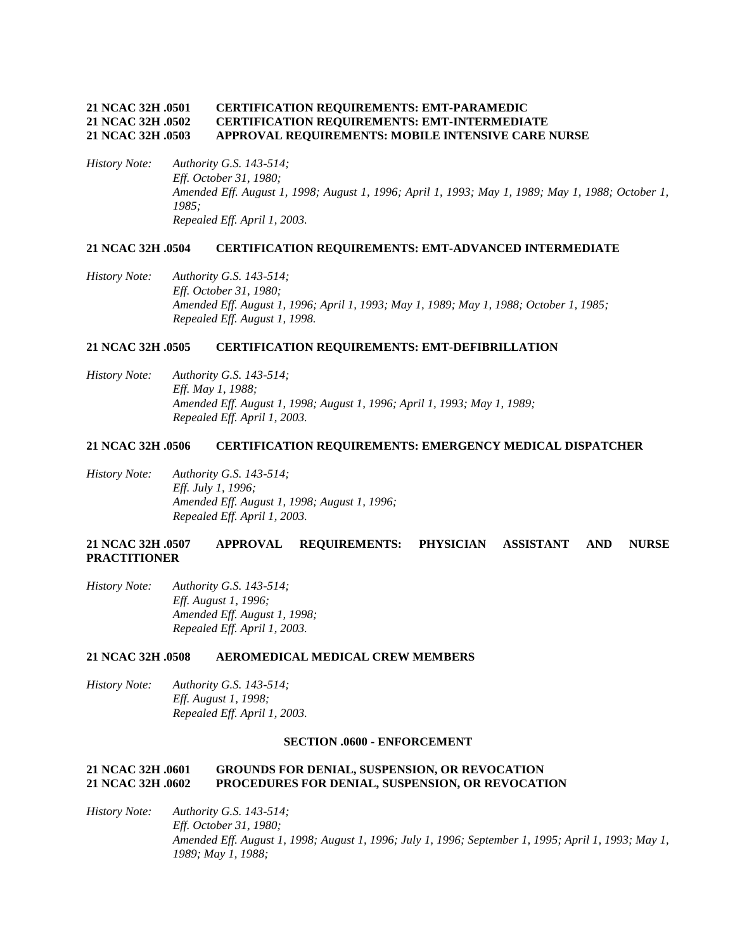## **21 NCAC 32H .0501 CERTIFICATION REQUIREMENTS: EMT-PARAMEDIC 21 NCAC 32H .0502 CERTIFICATION REQUIREMENTS: EMT-INTERMEDIATE 21 NCAC 32H .0503 APPROVAL REQUIREMENTS: MOBILE INTENSIVE CARE NURSE**

*History Note: Authority G.S. 143-514; Eff. October 31, 1980; Amended Eff. August 1, 1998; August 1, 1996; April 1, 1993; May 1, 1989; May 1, 1988; October 1, 1985; Repealed Eff. April 1, 2003.*

#### **21 NCAC 32H .0504 CERTIFICATION REQUIREMENTS: EMT-ADVANCED INTERMEDIATE**

*History Note: Authority G.S. 143-514; Eff. October 31, 1980; Amended Eff. August 1, 1996; April 1, 1993; May 1, 1989; May 1, 1988; October 1, 1985; Repealed Eff. August 1, 1998.*

### **21 NCAC 32H .0505 CERTIFICATION REQUIREMENTS: EMT-DEFIBRILLATION**

*History Note: Authority G.S. 143-514; Eff. May 1, 1988; Amended Eff. August 1, 1998; August 1, 1996; April 1, 1993; May 1, 1989; Repealed Eff. April 1, 2003.*

## **21 NCAC 32H .0506 CERTIFICATION REQUIREMENTS: EMERGENCY MEDICAL DISPATCHER**

*History Note: Authority G.S. 143-514; Eff. July 1, 1996; Amended Eff. August 1, 1998; August 1, 1996; Repealed Eff. April 1, 2003.*

## **21 NCAC 32H .0507 APPROVAL REQUIREMENTS: PHYSICIAN ASSISTANT AND NURSE PRACTITIONER**

*History Note: Authority G.S. 143-514; Eff. August 1, 1996; Amended Eff. August 1, 1998; Repealed Eff. April 1, 2003.*

## **21 NCAC 32H .0508 AEROMEDICAL MEDICAL CREW MEMBERS**

*History Note: Authority G.S. 143-514; Eff. August 1, 1998; Repealed Eff. April 1, 2003.*

### **SECTION .0600 - ENFORCEMENT**

### **21 NCAC 32H .0601 GROUNDS FOR DENIAL, SUSPENSION, OR REVOCATION 21 NCAC 32H .0602 PROCEDURES FOR DENIAL, SUSPENSION, OR REVOCATION**

*History Note: Authority G.S. 143-514; Eff. October 31, 1980; Amended Eff. August 1, 1998; August 1, 1996; July 1, 1996; September 1, 1995; April 1, 1993; May 1, 1989; May 1, 1988;*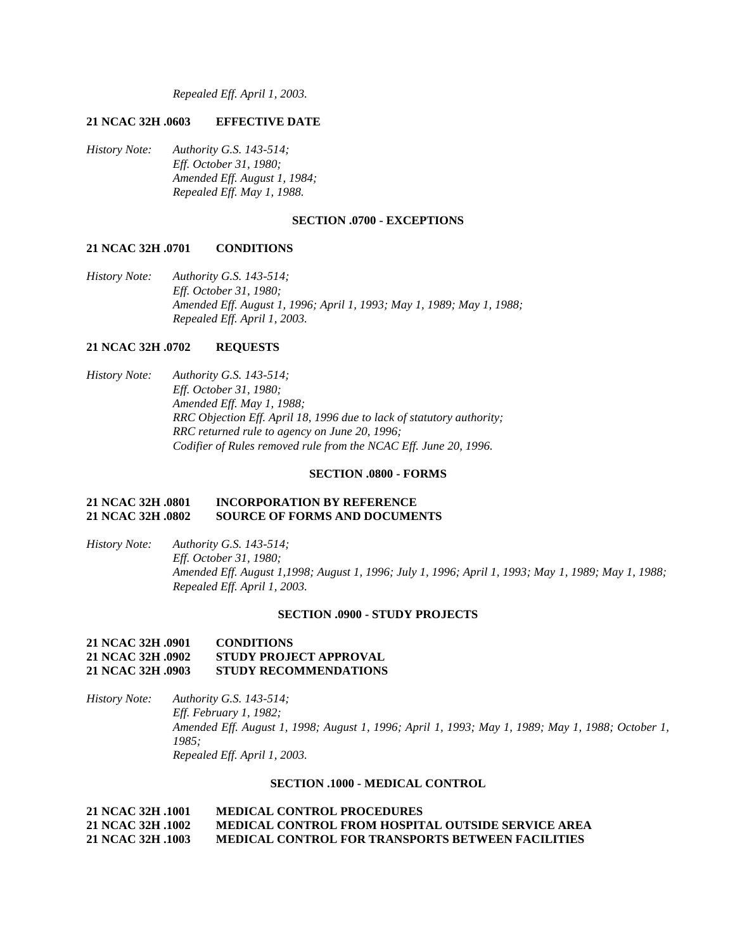*Repealed Eff. April 1, 2003.*

## **21 NCAC 32H .0603 EFFECTIVE DATE**

*History Note: Authority G.S. 143-514; Eff. October 31, 1980; Amended Eff. August 1, 1984; Repealed Eff. May 1, 1988.*

#### **SECTION .0700 - EXCEPTIONS**

## **21 NCAC 32H .0701 CONDITIONS**

*History Note: Authority G.S. 143-514; Eff. October 31, 1980; Amended Eff. August 1, 1996; April 1, 1993; May 1, 1989; May 1, 1988; Repealed Eff. April 1, 2003.*

# **21 NCAC 32H .0702 REQUESTS**

*History Note: Authority G.S. 143-514; Eff. October 31, 1980; Amended Eff. May 1, 1988; RRC Objection Eff. April 18, 1996 due to lack of statutory authority; RRC returned rule to agency on June 20, 1996; Codifier of Rules removed rule from the NCAC Eff. June 20, 1996.*

#### **SECTION .0800 - FORMS**

### **21 NCAC 32H .0801 INCORPORATION BY REFERENCE 21 NCAC 32H .0802 SOURCE OF FORMS AND DOCUMENTS**

*History Note: Authority G.S. 143-514; Eff. October 31, 1980; Amended Eff. August 1,1998; August 1, 1996; July 1, 1996; April 1, 1993; May 1, 1989; May 1, 1988; Repealed Eff. April 1, 2003.*

### **SECTION .0900 - STUDY PROJECTS**

## **21 NCAC 32H .0901 CONDITIONS 21 NCAC 32H .0902 STUDY PROJECT APPROVAL 21 NCAC 32H .0903 STUDY RECOMMENDATIONS**

*History Note: Authority G.S. 143-514; Eff. February 1, 1982; Amended Eff. August 1, 1998; August 1, 1996; April 1, 1993; May 1, 1989; May 1, 1988; October 1, 1985; Repealed Eff. April 1, 2003.*

#### **SECTION .1000 - MEDICAL CONTROL**

**21 NCAC 32H .1001 MEDICAL CONTROL PROCEDURES 21 NCAC 32H .1002 MEDICAL CONTROL FROM HOSPITAL OUTSIDE SERVICE AREA 21 NCAC 32H .1003 MEDICAL CONTROL FOR TRANSPORTS BETWEEN FACILITIES**